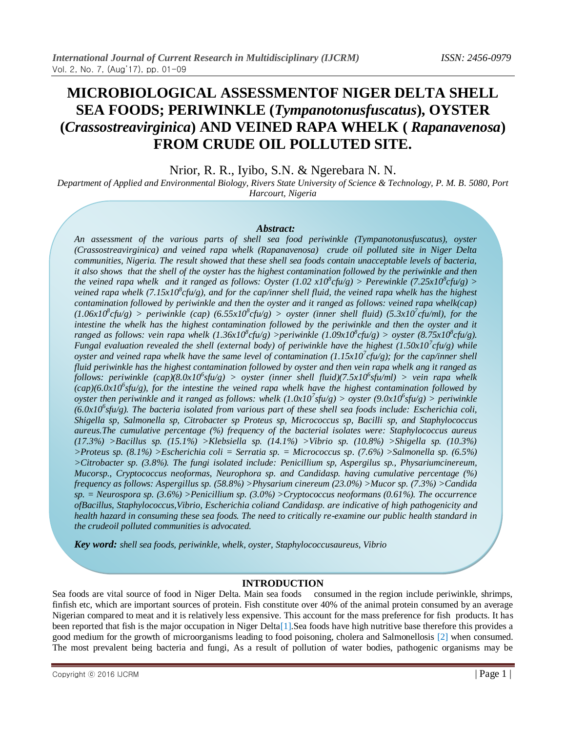# **MICROBIOLOGICAL ASSESSMENTOF NIGER DELTA SHELL SEA FOODS; PERIWINKLE (***Tympanotonusfuscatus***), OYSTER (***Crassostreavirginica***) AND VEINED RAPA WHELK (** *Rapanavenosa***) FROM CRUDE OIL POLLUTED SITE.**

Nrior, R. R., Iyibo, S.N. & Ngerebara N. N.

*Department of Applied and Environmental Biology, Rivers State University of Science & Technology, P. M. B. 5080, Port Harcourt, Nigeria*

#### *Abstract:*

*An assessment of the various parts of shell sea food periwinkle (Tympanotonusfuscatus), oyster (Crassostreavirginica) and veined rapa whelk (Rapanavenosa) crude oil polluted site in Niger Delta communities, Nigeria. The result showed that these shell sea foods contain unacceptable levels of bacteria, it also shows that the shell of the oyster has the highest contamination followed by the periwinkle and then the veined rapa whelk and it ranged as follows: Oyster (1.02 x10<sup>8</sup>cfu/g) > Perewinkle (7.25x10<sup>8</sup>cfu/g) > veined rapa whelk (7.15x10<sup>8</sup>cfu/g), and for the cap/inner shell fluid, the veined rapa whelk has the highest contamination followed by periwinkle and then the oyster and it ranged as follows: veined rapa whelk(cap)*   $(1.06x10^8c$ fu/g) > periwinkle (cap)  $(6.55x10^8c$ fu/g) > oyster (inner shell fluid)  $(5.3x10^7c$ fu/ml), for the intestine the whelk has the highest contamination followed by the periwinkle and then the oyster and it *ranged as follows: vein rapa whelk*  $(1.36x10^8 \text{c}fu/g)$  >periwinkle  $(1.09x10^8 \text{c}fu/g)$  > oyster  $(8.75x10^8 \text{c}fu/g)$ . *Fungal evaluation revealed the shell (external body) of periwinkle have the highest (1.50x10<sup>7</sup> cfu/g) while oyster and veined rapa whelk have the same level of contamination (1.15x10<sup>7</sup> cfu/g); for the cap/inner shell fluid periwinkle has the highest contamination followed by oyster and then vein rapa whelk ang it ranged as follows: periwinkle (cap)(8.0x10<sup>6</sup> sfu/g) > oyster (inner shell fluid)(7.5x10<sup>6</sup> sfu/ml) > vein rapa whelk*   $(cap)(6.0x10<sup>6</sup>$  *sfu/g), for the intestine the veined rapa whelk have the highest contamination followed by oyster then periwinkle and it ranged as follows: whelk (1.0x10<sup>7</sup> sfu/g) > oyster (9.0x10<sup>6</sup> sfu/g) > periwinkle (6.0x10<sup>6</sup> sfu/g). The bacteria isolated from various part of these shell sea foods include: Escherichia coli, Shigella sp, Salmonella sp, Citrobacter sp Proteus sp, Micrococcus sp, Bacilli sp, and Staphylococcus aureus.The cumulative percentage (%) frequency of the bacterial isolates were: Staphylococcus aureus (17.3%) >Bacillus sp. (15.1%) >Klebsiella sp. (14.1%) >Vibrio sp. (10.8%) >Shigella sp. (10.3%) >Proteus sp. (8.1%) >Escherichia coli = Serratia sp. = Micrococcus sp. (7.6%) >Salmonella sp. (6.5%) >Citrobacter sp. (3.8%). The fungi isolated include: Penicillium sp, Aspergilus sp., Physariumcinereum, Mucorsp., Cryptococcus neoformas, Neurophora sp. and Candidasp. having cumulative percentage (%) frequency as follows: Aspergillus sp. (58.8%) >Physarium cinereum (23.0%) >Mucor sp. (7.3%) >Candida sp. = Neurospora sp. (3.6%) >Penicillium sp. (3.0%) >Cryptococcus neoformans (0.61%). The occurrence ofBacillus, Staphylococcus,Vibrio, Escherichia coliand Candidasp. are indicative of high pathogenicity and health hazard in consuming these sea foods. The need to critically re-examine our public health standard in the crudeoil polluted communities is advocated.*

*Key word: shell sea foods, periwinkle, whelk, oyster, Staphylococcusaureus, Vibrio*

#### **INTRODUCTION**

Sea foods are vital source of food in Niger Delta. Main sea foods consumed in the region include periwinkle, shrimps, finfish etc, which are important sources of protein. Fish constitute over 40% of the animal protein consumed by an average Nigerian compared to meat and it is relatively less expensive. This account for the mass preference for fish products. It has been reported that fish is the major occupation in Niger Delta[1].Sea foods have high nutritive base therefore this provides a good medium for the growth of microorganisms leading to food poisoning, cholera and Salmonellosis [2] when consumed. The most prevalent being bacteria and fungi, As a result of pollution of water bodies, pathogenic organisms may be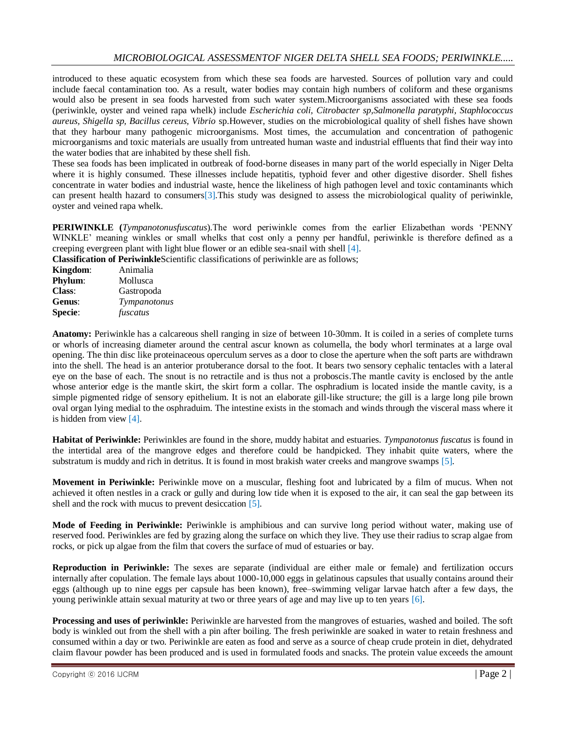introduced to these aquatic ecosystem from which these sea foods are harvested. Sources of pollution vary and could include faecal contamination too. As a result, water bodies may contain high numbers of coliform and these organisms would also be present in sea foods harvested from such water system.Microorganisms associated with these sea foods (periwinkle, oyster and veined rapa whelk) include *Escherichia coli, Citrobacter sp,Salmonella paratyphi, Staphlococcus aureus, Shigella sp, Bacillus cereus, Vibrio* sp.However, studies on the microbiological quality of shell fishes have shown that they harbour many pathogenic microorganisms. Most times, the accumulation and concentration of pathogenic microorganisms and toxic materials are usually from untreated human waste and industrial effluents that find their way into the water bodies that are inhabited by these shell fish.

These sea foods has been implicated in outbreak of food-borne diseases in many part of the world especially in Niger Delta where it is highly consumed. These illnesses include hepatitis, typhoid fever and other digestive disorder. Shell fishes concentrate in water bodies and industrial waste, hence the likeliness of high pathogen level and toxic contaminants which can present health hazard to consumers[3].This study was designed to assess the microbiological quality of periwinkle, oyster and veined rapa whelk.

**PERIWINKLE (***Tympanotonusfuscatus*).The word periwinkle comes from the earlier Elizabethan words 'PENNY WINKLE' meaning winkles or small whelks that cost only a penny per handful, periwinkle is therefore defined as a creeping evergreen plant with light blue flower or an edible sea-snail with shell [4].

**Classification of Periwinkle**Scientific classifications of periwinkle are as follows;

| Kingdom:       | Animalia     |
|----------------|--------------|
| <b>Phylum:</b> | Mollusca     |
| <b>Class:</b>  | Gastropoda   |
| Genus:         | Tympanotonus |
| <b>Specie:</b> | fuscatus     |

**Anatomy:** Periwinkle has a calcareous shell ranging in size of between 10-30mm. It is coiled in a series of complete turns or whorls of increasing diameter around the central ascur known as columella, the body whorl terminates at a large oval opening. The thin disc like proteinaceous operculum serves as a door to close the aperture when the soft parts are withdrawn into the shell. The head is an anterior protuberance dorsal to the foot. It bears two sensory cephalic tentacles with a lateral eye on the base of each. The snout is no retractile and is thus not a proboscis.The mantle cavity is enclosed by the antle whose anterior edge is the mantle skirt, the skirt form a collar. The osphradium is located inside the mantle cavity, is a simple pigmented ridge of sensory epithelium. It is not an elaborate gill-like structure; the gill is a large long pile brown oval organ lying medial to the osphraduim. The intestine exists in the stomach and winds through the visceral mass where it is hidden from view [4].

**Habitat of Periwinkle:** Periwinkles are found in the shore, muddy habitat and estuaries. *Tympanotonus fuscatus* is found in the intertidal area of the mangrove edges and therefore could be handpicked. They inhabit quite waters, where the substratum is muddy and rich in detritus. It is found in most brakish water creeks and mangrove swamps [5].

**Movement in Periwinkle:** Periwinkle move on a muscular, fleshing foot and lubricated by a film of mucus. When not achieved it often nestles in a crack or gully and during low tide when it is exposed to the air, it can seal the gap between its shell and the rock with mucus to prevent desiccation [5].

**Mode of Feeding in Periwinkle:** Periwinkle is amphibious and can survive long period without water, making use of reserved food. Periwinkles are fed by grazing along the surface on which they live. They use their radius to scrap algae from rocks, or pick up algae from the film that covers the surface of mud of estuaries or bay.

**Reproduction in Periwinkle:** The sexes are separate (individual are either male or female) and fertilization occurs internally after copulation. The female lays about 1000-10,000 eggs in gelatinous capsules that usually contains around their eggs (although up to nine eggs per capsule has been known), free–swimming veligar larvae hatch after a few days, the young periwinkle attain sexual maturity at two or three years of age and may live up to ten years [6].

**Processing and uses of periwinkle:** Periwinkle are harvested from the mangroves of estuaries, washed and boiled. The soft body is winkled out from the shell with a pin after boiling. The fresh periwinkle are soaked in water to retain freshness and consumed within a day or two. Periwinkle are eaten as food and serve as a source of cheap crude protein in diet, dehydrated claim flavour powder has been produced and is used in formulated foods and snacks. The protein value exceeds the amount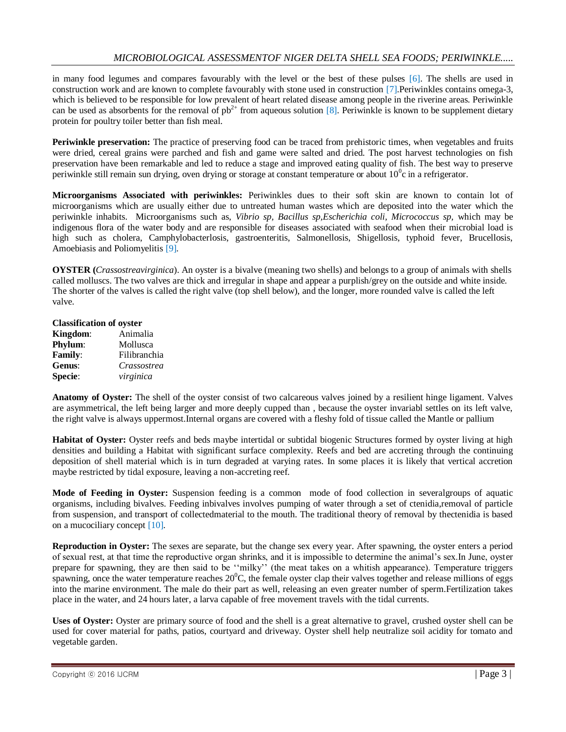in many food legumes and compares favourably with the level or the best of these pulses [6]. The shells are used in construction work and are known to complete favourably with stone used in construction [7].Periwinkles contains omega-3, which is believed to be responsible for low prevalent of heart related disease among people in the riverine areas. Periwinkle can be used as absorbents for the removal of  $pb^{2+}$  from aqueous solution [8]. Periwinkle is known to be supplement dietary protein for poultry toiler better than fish meal.

**Periwinkle preservation:** The practice of preserving food can be traced from prehistoric times, when vegetables and fruits were dried, cereal grains were parched and fish and game were salted and dried. The post harvest technologies on fish preservation have been remarkable and led to reduce a stage and improved eating quality of fish. The best way to preserve periwinkle still remain sun drying, oven drying or storage at constant temperature or about  $10^0$ c in a refrigerator.

**Microorganisms Associated with periwinkles:** Periwinkles dues to their soft skin are known to contain lot of microorganisms which are usually either due to untreated human wastes which are deposited into the water which the periwinkle inhabits. Microorganisms such as, *Vibrio sp, Bacillus sp,Escherichia coli, Micrococcus sp,* which may be indigenous flora of the water body and are responsible for diseases associated with seafood when their microbial load is high such as cholera, Camphylobacterlosis, gastroenteritis, Salmonellosis, Shigellosis, typhoid fever, Brucellosis, Amoebiasis and Poliomyelitis [9].

**OYSTER (***Crassostreavirginica*). An oyster is a bivalve (meaning two shells) and belongs to a group of animals with shells called molluscs. The two valves are thick and irregular in shape and appear a purplish/grey on the outside and white inside. The shorter of the valves is called the right valve (top shell below), and the longer, more rounded valve is called the left valve.

# **Classification of oyster**

| Kingdom:       | Animalia     |
|----------------|--------------|
| <b>Phylum:</b> | Mollusca     |
| <b>Family:</b> | Filibranchia |
| Genus:         | Crassostrea  |
| <b>Specie:</b> | virginica    |

**Anatomy of Oyster:** The shell of the oyster consist of two calcareous valves joined by a resilient hinge ligament. Valves are asymmetrical, the left being larger and more deeply cupped than , because the oyster invariabl settles on its left valve, the right valve is always uppermost.Internal organs are covered with a fleshy fold of tissue called the Mantle or pallium

**Habitat of Oyster:** Oyster reefs and beds maybe intertidal or subtidal biogenic Structures formed by oyster living at high densities and building a Habitat with significant surface complexity. Reefs and bed are accreting through the continuing deposition of shell material which is in turn degraded at varying rates. In some places it is likely that vertical accretion maybe restricted by tidal exposure, leaving a non-accreting reef.

**Mode of Feeding in Oyster:** Suspension feeding is a common mode of food collection in severalgroups of aquatic organisms, including bivalves. Feeding inbivalves involves pumping of water through a set of ctenidia,removal of particle from suspension, and transport of collectedmaterial to the mouth. The traditional theory of removal by thectenidia is based on a mucociliary concept [10].

**Reproduction in Oyster:** The sexes are separate, but the change sex every year. After spawning, the oyster enters a period of sexual rest, at that time the reproductive organ shrinks, and it is impossible to determine the animal's sex.In June, oyster prepare for spawning, they are then said to be ''milky'' (the meat takes on a whitish appearance). Temperature triggers spawning, once the water temperature reaches  $20^{\circ}$ C, the female oyster clap their valves together and release millions of eggs into the marine environment. The male do their part as well, releasing an even greater number of sperm.Fertilization takes place in the water, and 24 hours later, a larva capable of free movement travels with the tidal currents.

**Uses of Oyster:** Oyster are primary source of food and the shell is a great alternative to gravel, crushed oyster shell can be used for cover material for paths, patios, courtyard and driveway. Oyster shell help neutralize soil acidity for tomato and vegetable garden.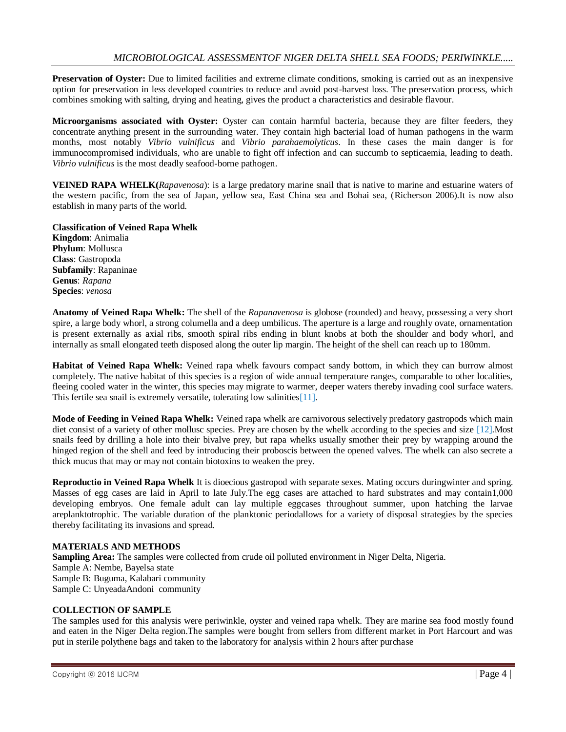**Preservation of Oyster:** Due to limited facilities and extreme climate conditions, smoking is carried out as an inexpensive option for preservation in less developed countries to reduce and avoid post-harvest loss. The preservation process, which combines smoking with salting, drying and heating, gives the product a characteristics and desirable flavour.

**Microorganisms associated with Oyster:** Oyster can contain harmful bacteria, because they are filter feeders, they concentrate anything present in the surrounding water. They contain high bacterial load of human pathogens in the warm months, most notably *Vibrio vulnificus* and *Vibrio parahaemolyticus*. In these cases the main danger is for immunocompromised individuals, who are unable to fight off infection and can succumb to septicaemia, leading to death. *Vibrio vulnificus* is the most deadly seafood-borne pathogen.

**VEINED RAPA WHELK(***Rapavenosa*): is a large predatory marine snail that is native to marine and estuarine waters of the western pacific, from the sea of Japan, yellow sea, East China sea and Bohai sea, (Richerson 2006).It is now also establish in many parts of the world.

**Classification of Veined Rapa Whelk Kingdom**: Animalia **Phylum**: Mollusca **Class**: Gastropoda **Subfamily**: Rapaninae **Genus**: *Rapana* **Species**: *venosa*

**Anatomy of Veined Rapa Whelk:** The shell of the *Rapanavenosa* is globose (rounded) and heavy, possessing a very short spire, a large body whorl, a strong columella and a deep umbilicus. The aperture is a large and roughly ovate, ornamentation is present externally as axial ribs, smooth spiral ribs ending in blunt knobs at both the shoulder and body whorl, and internally as small elongated teeth disposed along the outer lip margin. The height of the shell can reach up to 180mm.

**Habitat of Veined Rapa Whelk:** Veined rapa whelk favours compact sandy bottom, in which they can burrow almost completely. The native habitat of this species is a region of wide annual temperature ranges, comparable to other localities, fleeing cooled water in the winter, this species may migrate to warmer, deeper waters thereby invading cool surface waters. This fertile sea snail is extremely versatile, tolerating low salinities [11].

**Mode of Feeding in Veined Rapa Whelk:** Veined rapa whelk are carnivorous selectively predatory gastropods which main diet consist of a variety of other mollusc species. Prey are chosen by the whelk according to the species and size [12].Most snails feed by drilling a hole into their bivalve prey, but rapa whelks usually smother their prey by wrapping around the hinged region of the shell and feed by introducing their proboscis between the opened valves. The whelk can also secrete a thick mucus that may or may not contain biotoxins to weaken the prey.

**Reproductio in Veined Rapa Whelk** It is dioecious gastropod with separate sexes. Mating occurs duringwinter and spring. Masses of egg cases are laid in April to late July.The egg cases are attached to hard substrates and may contain1,000 developing embryos. One female adult can lay multiple eggcases throughout summer, upon hatching the larvae areplanktotrophic. The variable duration of the planktonic periodallows for a variety of disposal strategies by the species thereby facilitating its invasions and spread.

#### **MATERIALS AND METHODS**

**Sampling Area:** The samples were collected from crude oil polluted environment in Niger Delta, Nigeria. Sample A: Nembe, Bayelsa state Sample B: Buguma, Kalabari community Sample C: UnyeadaAndoni community

#### **COLLECTION OF SAMPLE**

The samples used for this analysis were periwinkle, oyster and veined rapa whelk. They are marine sea food mostly found and eaten in the Niger Delta region.The samples were bought from sellers from different market in Port Harcourt and was put in sterile polythene bags and taken to the laboratory for analysis within 2 hours after purchase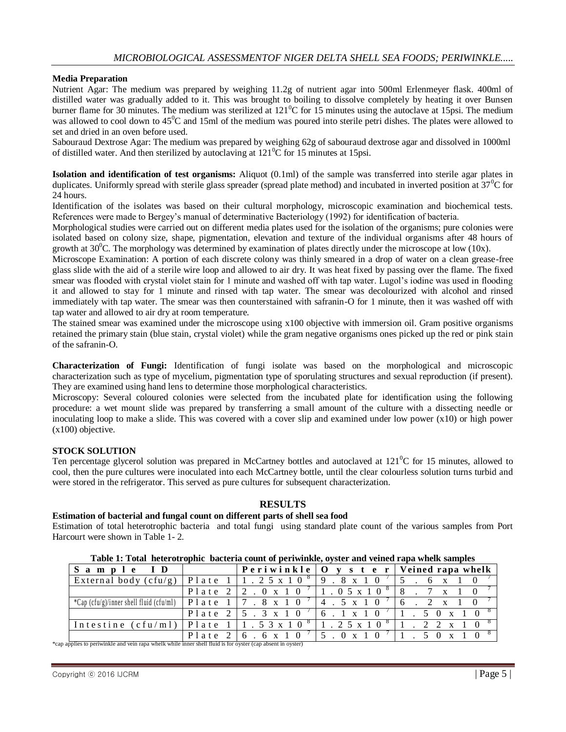# **Media Preparation**

Nutrient Agar: The medium was prepared by weighing 11.2g of nutrient agar into 500ml Erlenmeyer flask. 400ml of distilled water was gradually added to it. This was brought to boiling to dissolve completely by heating it over Bunsen burner flame for 30 minutes. The medium was sterilized at  $121^{\circ}$ C for 15 minutes using the autoclave at 15psi. The medium was allowed to cool down to  $45^{\circ}$ C and 15ml of the medium was poured into sterile petri dishes. The plates were allowed to set and dried in an oven before used.

Sabouraud Dextrose Agar: The medium was prepared by weighing 62g of sabouraud dextrose agar and dissolved in 1000ml of distilled water. And then sterilized by autoclaving at  $121\textsuperscript{0}\text{C}$  for 15 minutes at 15psi.

**Isolation and identification of test organisms:** Aliquot (0.1ml) of the sample was transferred into sterile agar plates in duplicates. Uniformly spread with sterile glass spreader (spread plate method) and incubated in inverted position at  $37^{\circ}$ C for 24 hours.

Identification of the isolates was based on their cultural morphology, microscopic examination and biochemical tests. References were made to Bergey's manual of determinative Bacteriology (1992) for identification of bacteria.

Morphological studies were carried out on different media plates used for the isolation of the organisms; pure colonies were isolated based on colony size, shape, pigmentation, elevation and texture of the individual organisms after 48 hours of growth at  $30^{\circ}$ C. The morphology was determined by examination of plates directly under the microscope at low (10x).

Microscope Examination: A portion of each discrete colony was thinly smeared in a drop of water on a clean grease-free glass slide with the aid of a sterile wire loop and allowed to air dry. It was heat fixed by passing over the flame. The fixed smear was flooded with crystal violet stain for 1 minute and washed off with tap water. Lugol's iodine was used in flooding it and allowed to stay for 1 minute and rinsed with tap water. The smear was decolourized with alcohol and rinsed immediately with tap water. The smear was then counterstained with safranin-O for 1 minute, then it was washed off with tap water and allowed to air dry at room temperature.

The stained smear was examined under the microscope using x100 objective with immersion oil. Gram positive organisms retained the primary stain (blue stain, crystal violet) while the gram negative organisms ones picked up the red or pink stain of the safranin-O.

**Characterization of Fungi:** Identification of fungi isolate was based on the morphological and microscopic characterization such as type of mycelium, pigmentation type of sporulating structures and sexual reproduction (if present). They are examined using hand lens to determine those morphological characteristics.

Microscopy: Several coloured colonies were selected from the incubated plate for identification using the following procedure: a wet mount slide was prepared by transferring a small amount of the culture with a dissecting needle or inoculating loop to make a slide. This was covered with a cover slip and examined under low power (x10) or high power (x100) objective.

#### **STOCK SOLUTION**

Ten percentage glycerol solution was prepared in McCartney bottles and autoclaved at  $121^{\circ}$ C for 15 minutes, allowed to cool, then the pure cultures were inoculated into each McCartney bottle, until the clear colourless solution turns turbid and were stored in the refrigerator. This served as pure cultures for subsequent characterization.

#### **RESULTS**

#### **Estimation of bacterial and fungal count on different parts of shell sea food**

Estimation of total heterotrophic bacteria and total fungi using standard plate count of the various samples from Port Harcourt were shown in Table 1- 2.

| Table 1. Total field on opine bacteria count of perfunnite, oybect and venica rapa when bamples                                                            |  |                                                                       |  |                                                                         |  |  |  |  |  |  |  |
|------------------------------------------------------------------------------------------------------------------------------------------------------------|--|-----------------------------------------------------------------------|--|-------------------------------------------------------------------------|--|--|--|--|--|--|--|
| $S$ ample ID $\vert$                                                                                                                                       |  |                                                                       |  | Periwinkle   O y s t e r   Veined rapa whelk                            |  |  |  |  |  |  |  |
| External body (cfu/g)   Plate $1 \mid 1 \cdot 2 \cdot 5 \times 10^{-8}$   9 $\cdot 8 \times 10^{-7}$   5 $\cdot 6 \times 10^{-7}$                          |  |                                                                       |  |                                                                         |  |  |  |  |  |  |  |
|                                                                                                                                                            |  |                                                                       |  | Plate $2 \mid 2$ . 0 x 1 0 $\mid$ 1 . 0 5 x 1 0 $\mid$ 8 . 7 x 1 0      |  |  |  |  |  |  |  |
| *Cap (cfu/g)/inner shell fluid (cfu/ml)   P 1 a t e $1$   7 $\cdot$ 8 $\times$ 1 0 $\prime$   4 $\cdot$ 5 $\times$ 1 0 $\prime$   6 $\cdot$ 2 $\times$ 1 0 |  |                                                                       |  |                                                                         |  |  |  |  |  |  |  |
|                                                                                                                                                            |  |                                                                       |  | Plate 2   5 . 3 x 1 0 $\frac{7}{6}$ . 1 x 1 0 $\frac{7}{1}$ . 5 0 x 1 0 |  |  |  |  |  |  |  |
| Intestine (cfu/ml)   Plate 1   1 . 5 3 x 1 0 $^8$   1 . 2 5 x 1 0 $^8$   1 . 2 2 x 1 0                                                                     |  |                                                                       |  |                                                                         |  |  |  |  |  |  |  |
|                                                                                                                                                            |  | Plate 2   6 . 6 x 1 0 $\frac{1}{5}$ . 0 x 1 0 $\frac{1}{1}$ 1 . 5 0 x |  | $\Omega$                                                                |  |  |  |  |  |  |  |

**Table 1: Total heterotrophic bacteria count of periwinkle, oyster and veined rapa whelk samples**

\*cap applies to periwinkle and vein rapa whelk while inner shell fluid is for oyster (cap absent in oyster)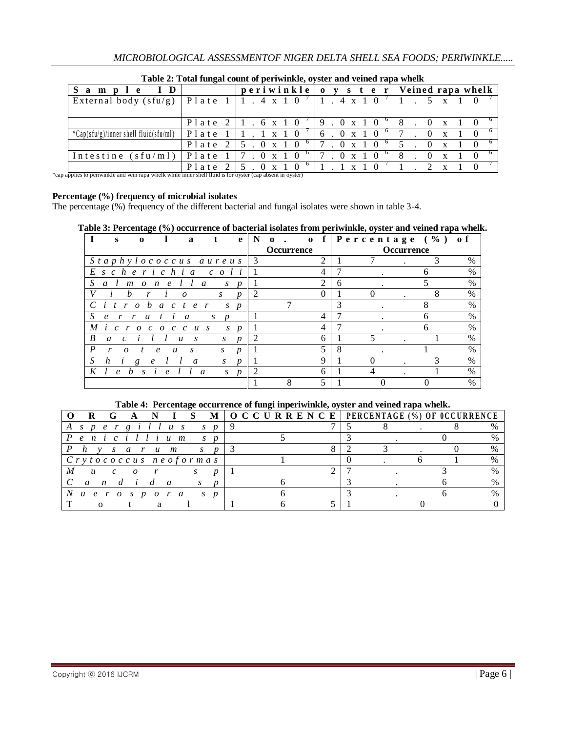|                                                                                                             |                             | - 8                                                                                                                                                                                                                                                                                                                                                                                                                       |
|-------------------------------------------------------------------------------------------------------------|-----------------------------|---------------------------------------------------------------------------------------------------------------------------------------------------------------------------------------------------------------------------------------------------------------------------------------------------------------------------------------------------------------------------------------------------------------------------|
|                                                                                                             |                             | $0 \times 1$                                                                                                                                                                                                                                                                                                                                                                                                              |
|                                                                                                             |                             | $0 \times$<br>5 <sup>1</sup>                                                                                                                                                                                                                                                                                                                                                                                              |
|                                                                                                             |                             | $0 \times$<br>- 8                                                                                                                                                                                                                                                                                                                                                                                                         |
| *cap applies to periwinkle and vein rapa whelk while inner shell fluid is for oyster (cap absent in oyster) |                             | $\mathbf{x}$                                                                                                                                                                                                                                                                                                                                                                                                              |
| ple ID<br>$^*Cap(stu/g)/inner$ shell fluid(sfu/ml)                                                          | Plate 2<br>$15.0 \times 10$ | periwinkle   o y s t e r   Veined rapa whelk<br>External body (sfu/g)   Plate $1 \mid 1$ . 4 x 1 0 $\mid$   1. 4 x 1 0<br>Plate $2 \mid 1$ , 6 x 1 0 $\mid$ 9 , 0 x 1 0<br>Plate $1 \mid 1$ . $1 \times 1$ 0 $\mid$ 16. 0 $x \mid 1$ 0<br>Plate $2 \mid 5 \cdot 0 \times 10^{6} \mid 7 \cdot 0 \times 10^{6}$<br>Intestine (sfu/ml)   Plate $1$   7 . 0 x 1 0 $^{6}$   7 . 0 x 1 0<br>$1 \quad 1 \quad x \quad 1 \quad 0$ |

**Table 2: Total fungal count of periwinkle, oyster and veined rapa whelk**

# **Percentage (%) frequency of microbial isolates**

The percentage (%) frequency of the different bacterial and fungal isolates were shown in table 3-4.

# **Table 3: Percentage (%) occurrence of bacterial isolates from periwinkle, oyster and veined rapa whelk.**

|   | S                          | $\Omega$                     |                                 | a                                 | t                     | e                | - N            | $\Omega$ |                   | $\mathbf{o}$ f |                |   | Percentage $(\% )$ |                   |   | o f           |
|---|----------------------------|------------------------------|---------------------------------|-----------------------------------|-----------------------|------------------|----------------|----------|-------------------|----------------|----------------|---|--------------------|-------------------|---|---------------|
|   |                            |                              |                                 |                                   |                       |                  |                |          | <b>Occurrence</b> |                |                |   |                    | <b>Occurrence</b> |   |               |
|   |                            |                              |                                 |                                   | Staphylococcus aureus |                  | l 3            |          |                   |                | $\mathfrak{D}$ |   |                    |                   |   | $\%$          |
|   |                            | $E$ scherichia               |                                 |                                   | $c \cdot o$           |                  |                |          |                   |                | 4              |   |                    |                   | n | $\%$          |
|   | a                          | $\boldsymbol{m}$<br>$\theta$ | $\boldsymbol{n}$<br>$\epsilon$  |                                   | a<br>$\boldsymbol{S}$ | $\boldsymbol{v}$ |                |          |                   |                | $\mathfrak{D}$ | 6 |                    |                   |   | $\%$          |
| V |                            | h<br>r                       |                                 | $\Omega$                          | S                     | $\boldsymbol{p}$ | 2              |          |                   |                | $\theta$       |   |                    |                   | 8 | $\%$          |
|   |                            | h<br>$\Omega$                | a<br>$\mathcal{C}$              | $\boldsymbol{\rho}$               | S                     | $\boldsymbol{D}$ |                |          |                   |                |                | 3 |                    |                   | 8 | $\frac{0}{0}$ |
|   | $\boldsymbol{\mathcal{e}}$ | $\mathfrak{a}$<br>r          |                                 | a                                 | $\boldsymbol{p}$<br>S |                  |                |          |                   |                | 4              |   |                    |                   |   | $\%$          |
| M | $\mathcal{C}$              | r<br>$\Omega$<br>$\epsilon$  | $\overline{O}$<br>$\mathcal{C}$ | $\mathcal{C}$<br>$\boldsymbol{u}$ | S<br>S                | $\boldsymbol{D}$ |                |          |                   |                | 4              |   |                    |                   | h | $\frac{0}{0}$ |
| B | a                          | C                            |                                 | $\boldsymbol{u}$<br>S.            | S                     | n                | 2              |          |                   |                | 6              |   |                    |                   |   | $\frac{0}{0}$ |
| P | r                          | $\Omega$                     | $\epsilon$<br>$\boldsymbol{u}$  | S                                 | S                     | n                |                |          |                   |                |                |   |                    |                   |   | $\frac{0}{0}$ |
|   | n                          | g                            | $\epsilon$                      | $\mathfrak a$                     | S                     | n                |                |          |                   |                | Q              |   |                    |                   |   | $\%$          |
|   | e                          |                              | e                               |                                   | $\mathfrak{a}$<br>S   | $\boldsymbol{p}$ | $\mathfrak{D}$ |          |                   |                | 6              |   |                    |                   |   | $\frac{0}{0}$ |
|   |                            |                              |                                 |                                   |                       |                  |                |          | 8                 |                |                |   |                    |                   |   | $\frac{0}{0}$ |

#### **Table 4: Percentage occurrence of fungi inperiwinkle, oyster and veined rapa whelk.**

| $\mathbf{I}$ S<br>-N                                        | $M \mid O \text{ } C \text{ } C \text{ } U \text{ } R \text{ } R \text{ } E \text{ } N \text{ } C \text{ } E \mid P \text{ } E \text{ } R \text{ } C \text{ } E \text{ } (\%) \text{ } OF \text{ } 0 \text{ } CC \text{ } U \text{ } R \text{ } E \text{ } NC \text{ } E$ |
|-------------------------------------------------------------|---------------------------------------------------------------------------------------------------------------------------------------------------------------------------------------------------------------------------------------------------------------------------|
| $\overline{g}$<br>A s p e r<br>illus<br>$\overline{D}$<br>S |                                                                                                                                                                                                                                                                           |
| Penicillium                                                 |                                                                                                                                                                                                                                                                           |
| s ar um<br>$\boldsymbol{p}$<br>S                            |                                                                                                                                                                                                                                                                           |
| Crytococcus neoformas                                       |                                                                                                                                                                                                                                                                           |
|                                                             |                                                                                                                                                                                                                                                                           |
| d<br>$\boldsymbol{n}$                                       |                                                                                                                                                                                                                                                                           |
| $\mathbf{u} \cdot \mathbf{e}$<br>a<br>$\overline{a}$        |                                                                                                                                                                                                                                                                           |
|                                                             |                                                                                                                                                                                                                                                                           |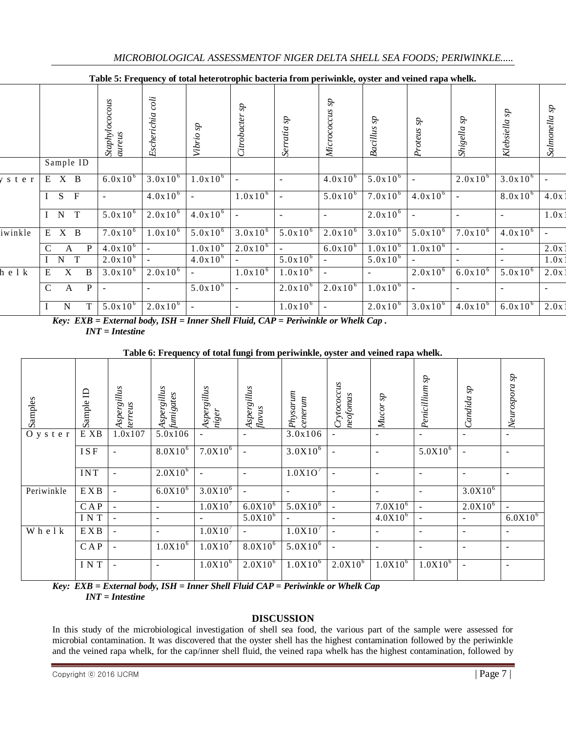|         |                                    | Staphylococous<br>aureus | Escherichia coli    | Vibrio sp      | Citrobacter sp | Serratia sp  | Micrococcus sp           | $\vec{dS}$<br><b>Bacillus</b> | $\boldsymbol{d\!s}$<br>Proteus | Shigella sp              | Klebsiella sp            | Salmonella sp |
|---------|------------------------------------|--------------------------|---------------------|----------------|----------------|--------------|--------------------------|-------------------------------|--------------------------------|--------------------------|--------------------------|---------------|
|         | Sample ID                          |                          |                     |                |                |              |                          |                               |                                |                          |                          |               |
| s t e r | $X$ B<br>E                         | $6.0x10^{6}$             | $3.0x10^{6}$        | $1.0x10^{6}$   |                |              | $4.0x10^{6}$             | $5.0x10^{6}$                  |                                | $2.0x10^{6}$             | $3.0x10^{6}$             |               |
|         | S<br>$\mathbf{F}$<br>Ι             |                          | $4.0x10^{6}$        |                | $1.0x10^{6}$   |              | $5.0x10^{6}$             | $7.0x10^{6}$                  | $4.0x10^{6}$                   |                          | $8.0x10^{6}$             | 4.0x          |
|         | $\overline{T}$<br>$\mathbf N$<br>I | $5.0x10^{6}$             | $2.0x10^{6}$        | $4.0x10^{6}$   |                |              | $\overline{\phantom{a}}$ | $2.0x10^{6}$                  | $\sim$                         |                          | ٠                        | 1.0x          |
| iwinkle | $X$ B<br>E                         | $7.0x10^{6}$             | $1.0x10^{6}$        | $5.0x10^{6}$   | $3.0x10^{6}$   | $5.0x10^{6}$ | $2.0x10^{6}$             | $3.0x10^{6}$                  | $5.0x10^{6}$                   | $7.0x10^{6}$             | $4.0x10^{6}$             |               |
|         | $\mathcal{C}$<br>P<br>A            | $4.0x10^{6}$             |                     | $1.0x10^{6}$   | $2.0x10^{6}$   | $\sim$       | $6.0x10^{6}$             | $1.0x10^{6}$                  | $1.0x10^{6}$                   | $\overline{\phantom{a}}$ | $\overline{\phantom{a}}$ | 2.0x          |
|         | T<br>$\mathbf N$                   | $2.0x10^{6}$             | $\blacksquare$      | $4.0x10^{6}$   |                | $5.0x10^{6}$ |                          | $5.0x10^{6}$                  |                                | $\overline{\phantom{a}}$ | $\overline{\phantom{a}}$ | 1.0x          |
| helk    | X<br>B<br>E                        | $3.0x10^{6}$             | $2.0x10^{6}$        | $\blacksquare$ | $1.0x10^{6}$   | $1.0x10^{6}$ | $\blacksquare$           |                               | $2.0x10^{6}$                   | $6.0x10^{6}$             | $5.0x10^{6}$             | 2.0x          |
|         | $\mathbf C$<br>P<br>A              | $\sim$                   |                     | $5.0x10^{6}$   |                | $2.0x10^{6}$ | $2.0x10^{6}$             | $1.0x10^{6}$                  | $\overline{\phantom{a}}$       | $\blacksquare$           | $\overline{\phantom{a}}$ |               |
|         | T<br>N<br>$\mathbf{I}$             | $5.0x10^{6}$             | $2.0 \times 10^{6}$ | $\blacksquare$ |                | $1.0x10^{6}$ |                          | $2.0x10^{6}$                  | $3.0x10^{6}$                   | $4.0x10^{6}$             | $6.0x10^{6}$             | 2.0x          |

**Table 5: Frequency of total heterotrophic bacteria from periwinkle, oyster and veined rapa whelk.**

*Key: EXB = External body, ISH = Inner Shell Fluid, CAP = Periwinkle or Whelk Cap . INT = Intestine*

**Table 6: Frequency of total fungi from periwinkle, oyster and veined rapa whelk.**

| Samples     | ⊟<br>Sample | Aspergillus<br>terreus   | Aspergillus<br>fumigates | Aspergillus<br>niger | Aspergillus<br>flavus | Physarum<br>centermm     | Crytococcus<br>neofomas  | ĊS.<br>Mucor             | $\boldsymbol{d}S$<br>Penicillium | Candida sp               | Neurospora sp            |
|-------------|-------------|--------------------------|--------------------------|----------------------|-----------------------|--------------------------|--------------------------|--------------------------|----------------------------------|--------------------------|--------------------------|
| O y s t e r | E XB        | 1.0x107                  | 5.0x106                  |                      | $\overline{a}$        | 3.0x106                  |                          | $\overline{\phantom{a}}$ | ۰                                | $\overline{\phantom{0}}$ | $\overline{\phantom{0}}$ |
|             | <b>ISF</b>  | $\blacksquare$           | $8.0X10^{6}$             | $7.0X10^{6}$         | $\overline{a}$        | $3.0X10^{6}$             |                          | $\overline{\phantom{a}}$ | $5.0X10^{6}$                     | $\overline{a}$           | $\overline{\phantom{0}}$ |
|             | <b>INT</b>  | $\sim$                   | $2.0X10^{6}$             | $\sim$               | ٠                     | 1.0X1O <sup>7</sup>      | $\sim$                   | $\overline{\phantom{a}}$ | $\overline{\phantom{a}}$         | $\overline{\phantom{0}}$ | $\overline{\phantom{0}}$ |
| Periwinkle  | E X B       | $\sim$                   | $6.0X10^{6}$             | $3.0X10^{6}$         | $\blacksquare$        | $\overline{\phantom{0}}$ | $\sim$                   | $\overline{\phantom{a}}$ |                                  | $3.0X10^{6}$             |                          |
|             | CAP         | $\overline{\phantom{a}}$ | -                        | 1.0X10'              | $6.0X10^{6}$          | $5.0X10^{6}$             | $\overline{\phantom{a}}$ | $7.0X10^{6}$             | $\overline{\phantom{a}}$         | $2.0X10^{6}$             | $\overline{\phantom{0}}$ |
|             | INT         | $\sim$                   | -                        |                      | $5.0X10^{6}$          | $\overline{\phantom{a}}$ |                          | $4.0X10^{6}$             | $\overline{\phantom{a}}$         |                          | $6.0X10^{6}$             |
| Whelk       | E X B       | $\sim$                   | $\overline{\phantom{a}}$ | $1.0X10^{7}$         | $\blacksquare$        | $1.0X10^{7}$             | $\sim$                   | $\overline{\phantom{a}}$ |                                  | ۰                        | $\blacksquare$           |
|             | CAP         | $\sim$                   | $1.0X10^{6}$             | $1.0X10^{7}$         | $8.0X10^{6}$          | $5.0X10^{6}$             |                          | $\overline{\phantom{a}}$ | ۰                                | $\overline{\phantom{0}}$ | $\overline{\phantom{0}}$ |
|             | INT         | $\overline{\phantom{a}}$ | $\blacksquare$           | $1.0X10^{6}$         | $2.0X10^{6}$          | $1.0 \overline{X} 10^6$  | $2.0X10^{6}$             | $1.0X\overline{10^6}$    | $1.0X10^{6}$                     | $\overline{a}$           | $\overline{\phantom{0}}$ |

*Key: EXB = External body, ISH = Inner Shell Fluid CAP = Periwinkle or Whelk Cap INT = Intestine* 

# **DISCUSSION**

In this study of the microbiological investigation of shell sea food, the various part of the sample were assessed for microbial contamination. It was discovered that the oyster shell has the highest contamination followed by the periwinkle and the veined rapa whelk, for the cap/inner shell fluid, the veined rapa whelk has the highest contamination, followed by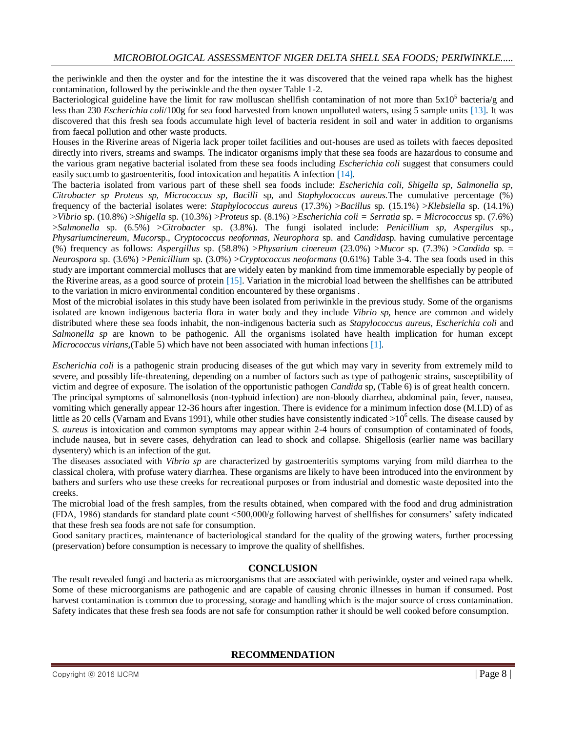the periwinkle and then the oyster and for the intestine the it was discovered that the veined rapa whelk has the highest contamination, followed by the periwinkle and the then oyster Table 1-2.

Bacteriological guideline have the limit for raw molluscan shellfish contamination of not more than  $5x10^5$  bacteria/g and less than 230 *Escherichia coli*/100g for sea food harvested from known unpolluted waters, using 5 sample units [13]. It was discovered that this fresh sea foods accumulate high level of bacteria resident in soil and water in addition to organisms from faecal pollution and other waste products.

Houses in the Riverine areas of Nigeria lack proper toilet facilities and out-houses are used as toilets with faeces deposited directly into rivers, streams and swamps. The indicator organisms imply that these sea foods are hazardous to consume and the various gram negative bacterial isolated from these sea foods including *Escherichia coli* suggest that consumers could easily succumb to gastroenteritis, food intoxication and hepatitis A infection [14].

The bacteria isolated from various part of these shell sea foods include: *Escherichia coli, Shigella sp, Salmonella sp, Citrobacter sp Proteus sp, Micrococcus sp, Bacilli* sp, and *Staphylococcus aureus.*The cumulative percentage (%) frequency of the bacterial isolates were: *Staphylococcus aureus* (17.3%) >*Bacillus* sp. (15.1%) >*Klebsiella* sp. (14.1%) >*Vibrio* sp. (10.8%) >*Shigella* sp. (10.3%) >*Proteus* sp. (8.1%) >*Escherichia coli = Serratia* sp. = *Micrococcus* sp. (7.6%) >*Salmonella* sp. (6.5%) >*Citrobacter* sp. (3.8%). The fungi isolated include: *Penicillium sp, Aspergilus* sp.*, Physariumcinereum*, *Mucor*sp.*, Cryptococcus neoformas, Neurophora* sp. and *Candida*sp. having cumulative percentage (%) frequency as follows: *Aspergillus* sp. (58.8%) >*Physarium cinereum* (23.0%) >*Mucor* sp. (7.3%) >*Candida* sp. = *Neurospora* sp. (3.6%) >*Penicillium* sp. (3.0%) >*Cryptococcus neoformans* (0.61%) Table 3-4. The sea foods used in this study are important commercial molluscs that are widely eaten by mankind from time immemorable especially by people of the Riverine areas, as a good source of protein [15]. Variation in the microbial load between the shellfishes can be attributed to the variation in micro environmental condition encountered by these organisms .

Most of the microbial isolates in this study have been isolated from periwinkle in the previous study. Some of the organisms isolated are known indigenous bacteria flora in water body and they include *Vibrio sp,* hence are common and widely distributed where these sea foods inhabit, the non-indigenous bacteria such as *Stapylococcus aureus, Escherichia coli* and *Salmonella sp* are known to be pathogenic. All the organisms isolated have health implication for human except *Micrococcus virians,*(Table 5) which have not been associated with human infections [1].

*Escherichia coli* is a pathogenic strain producing diseases of the gut which may vary in severity from extremely mild to severe, and possibly life-threatening, depending on a number of factors such as type of pathogenic strains, susceptibility of victim and degree of exposure. The isolation of the opportunistic pathogen *Candida* sp, (Table 6) is of great health concern. The principal symptoms of salmonellosis (non-typhoid infection) are non-bloody diarrhea, abdominal pain, fever, nausea, vomiting which generally appear 12-36 hours after ingestion. There is evidence for a minimum infection dose (M.I.D) of as little as 20 cells (Varnam and Evans 1991), while other studies have consistently indicated  $>10^6$  cells. The disease caused by *S. aureus* is intoxication and common symptoms may appear within 2-4 hours of consumption of contaminated of foods, include nausea, but in severe cases, dehydration can lead to shock and collapse. Shigellosis (earlier name was bacillary dysentery) which is an infection of the gut.

The diseases associated with *Vibrio sp* are characterized by gastroenteritis symptoms varying from mild diarrhea to the classical cholera, with profuse watery diarrhea. These organisms are likely to have been introduced into the environment by bathers and surfers who use these creeks for recreational purposes or from industrial and domestic waste deposited into the creeks.

The microbial load of the fresh samples, from the results obtained, when compared with the food and drug administration (FDA, 1986) standards for standard plate count <500,000/g following harvest of shellfishes for consumers' safety indicated that these fresh sea foods are not safe for consumption.

Good sanitary practices, maintenance of bacteriological standard for the quality of the growing waters, further processing (preservation) before consumption is necessary to improve the quality of shellfishes.

# **CONCLUSION**

The result revealed fungi and bacteria as microorganisms that are associated with periwinkle, oyster and veined rapa whelk. Some of these microorganisms are pathogenic and are capable of causing chronic illnesses in human if consumed. Post harvest contamination is common due to processing, storage and handling which is the major source of cross contamination. Safety indicates that these fresh sea foods are not safe for consumption rather it should be well cooked before consumption.

# **RECOMMENDATION**